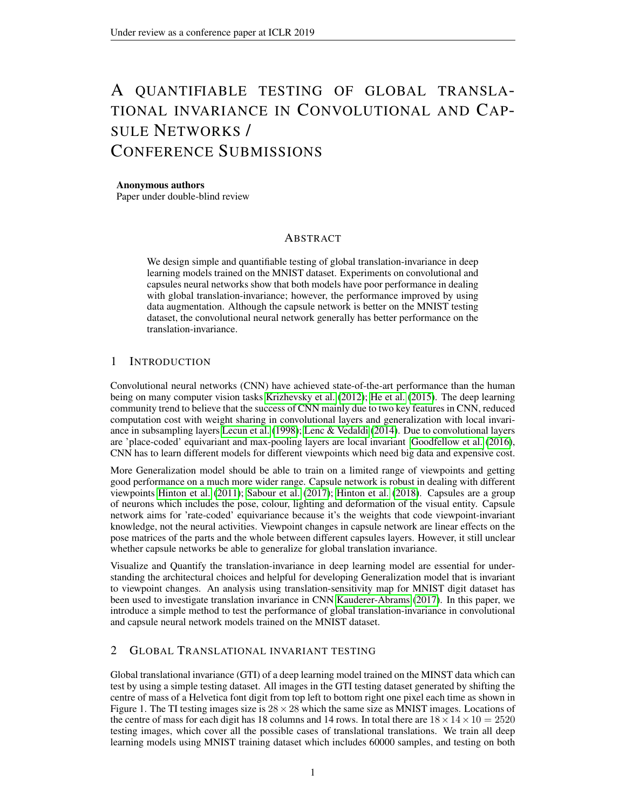# A QUANTIFIABLE TESTING OF GLOBAL TRANSLA-TIONAL INVARIANCE IN CONVOLUTIONAL AND CAP-SULE NETWORKS / CONFERENCE SUBMISSIONS

### Anonymous authors

Paper under double-blind review

## ABSTRACT

We design simple and quantifiable testing of global translation-invariance in deep learning models trained on the MNIST dataset. Experiments on convolutional and capsules neural networks show that both models have poor performance in dealing with global translation-invariance; however, the performance improved by using data augmentation. Although the capsule network is better on the MNIST testing dataset, the convolutional neural network generally has better performance on the translation-invariance.

## 1 INTRODUCTION

Convolutional neural networks (CNN) have achieved state-of-the-art performance than the human being on many computer vision tasks [Krizhevsky et al.](#page-5-0) [\(2012\)](#page-5-0); [He et al.](#page-4-0) [\(2015\)](#page-4-0). The deep learning community trend to believe that the success of CNN mainly due to two key features in CNN, reduced computation cost with weight sharing in convolutional layers and generalization with local invariance in subsampling layers [Lecun et al.](#page-5-1) [\(1998\)](#page-5-1); [Lenc & Vedaldi](#page-5-2) [\(2014\)](#page-5-2). Due to convolutional layers are 'place-coded' equivariant and max-pooling layers are local invariant [Goodfellow et al.](#page-4-1) [\(2016\)](#page-4-1), CNN has to learn different models for different viewpoints which need big data and expensive cost.

More Generalization model should be able to train on a limited range of viewpoints and getting good performance on a much more wider range. Capsule network is robust in dealing with different viewpoints [Hinton et al.](#page-4-2) [\(2011\)](#page-4-2); [Sabour et al.](#page-5-3) [\(2017\)](#page-5-3); [Hinton et al.](#page-4-3) [\(2018\)](#page-4-3). Capsules are a group of neurons which includes the pose, colour, lighting and deformation of the visual entity. Capsule network aims for 'rate-coded' equivariance because it's the weights that code viewpoint-invariant knowledge, not the neural activities. Viewpoint changes in capsule network are linear effects on the pose matrices of the parts and the whole between different capsules layers. However, it still unclear whether capsule networks be able to generalize for global translation invariance.

Visualize and Quantify the translation-invariance in deep learning model are essential for understanding the architectural choices and helpful for developing Generalization model that is invariant to viewpoint changes. An analysis using translation-sensitivity map for MNIST digit dataset has been used to investigate translation invariance in CNN [Kauderer-Abrams](#page-4-4) [\(2017\)](#page-4-4). In this paper, we introduce a simple method to test the performance of global translation-invariance in convolutional and capsule neural network models trained on the MNIST dataset.

## 2 GLOBAL TRANSLATIONAL INVARIANT TESTING

Global translational invariance (GTI) of a deep learning model trained on the MINST data which can test by using a simple testing dataset. All images in the GTI testing dataset generated by shifting the centre of mass of a Helvetica font digit from top left to bottom right one pixel each time as shown in Figure 1. The TI testing images size is  $28 \times 28$  which the same size as MNIST images. Locations of the centre of mass for each digit has 18 columns and 14 rows. In total there are  $18 \times 14 \times 10 = 2520$ testing images, which cover all the possible cases of translational translations. We train all deep learning models using MNIST training dataset which includes 60000 samples, and testing on both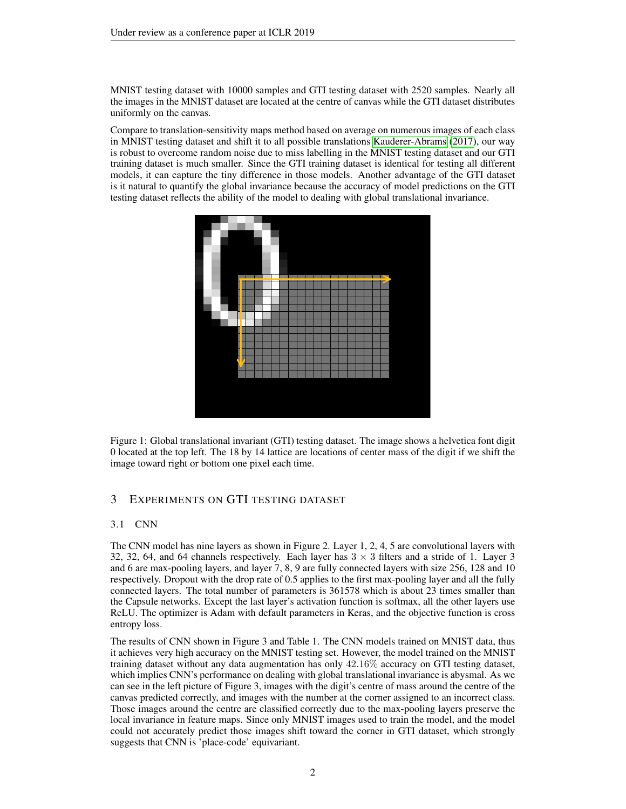MNIST testing dataset with 10000 samples and GTI testing dataset with 2520 samples. Nearly all the images in the MNIST dataset are located at the centre of canvas while the GTI dataset distributes uniformly on the canvas.

Compare to translation-sensitivity maps method based on average on numerous images of each class in MNIST testing dataset and shift it to all possible translations [Kauderer-Abrams](#page-4-4) [\(2017\)](#page-4-4), our way is robust to overcome random noise due to miss labelling in the MNIST testing dataset and our GTI training dataset is much smaller. Since the GTI training dataset is identical for testing all different models, it can capture the tiny difference in those models. Another advantage of the GTI dataset is it natural to quantify the global invariance because the accuracy of model predictions on the GTI testing dataset reflects the ability of the model to dealing with global translational invariance.



Figure 1: Global translational invariant (GTI) testing dataset. The image shows a helvetica font digit 0 located at the top left. The 18 by 14 lattice are locations of center mass of the digit if we shift the image toward right or bottom one pixel each time.

## 3 EXPERIMENTS ON GTI TESTING DATASET

#### 3.1 CNN

The CNN model has nine layers as shown in Figure 2. Layer 1, 2, 4, 5 are convolutional layers with 32, 32, 64, and 64 channels respectively. Each layer has  $3 \times 3$  filters and a stride of 1. Layer 3 and 6 are max-pooling layers, and layer 7, 8, 9 are fully connected layers with size 256, 128 and 10 respectively. Dropout with the drop rate of 0.5 applies to the first max-pooling layer and all the fully connected layers. The total number of parameters is 361578 which is about 23 times smaller than the Capsule networks. Except the last layer's activation function is softmax, all the other layers use ReLU. The optimizer is Adam with default parameters in Keras, and the objective function is cross entropy loss.

The results of CNN shown in Figure 3 and Table 1. The CNN models trained on MNIST data, thus it achieves very high accuracy on the MNIST testing set. However, the model trained on the MNIST training dataset without any data augmentation has only 42.16% accuracy on GTI testing dataset, which implies CNN's performance on dealing with global translational invariance is abysmal. As we can see in the left picture of Figure 3, images with the digit's centre of mass around the centre of the canvas predicted correctly, and images with the number at the corner assigned to an incorrect class. Those images around the centre are classified correctly due to the max-pooling layers preserve the local invariance in feature maps. Since only MNIST images used to train the model, and the model could not accurately predict those images shift toward the corner in GTI dataset, which strongly suggests that CNN is 'place-code' equivariant.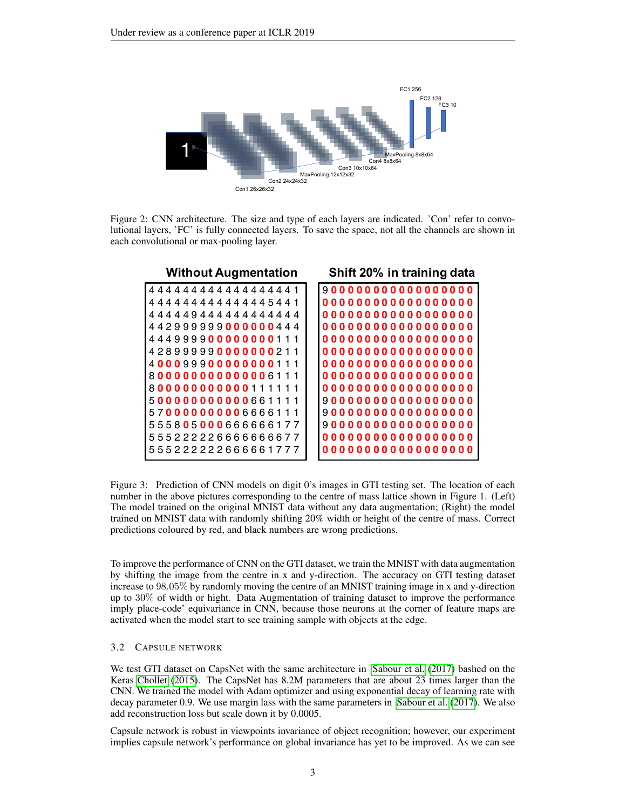

Figure 2: CNN architecture. The size and type of each layers are indicated. 'Con' refer to convolutional layers, 'FC' is fully connected layers. To save the space, not all the channels are shown in each convolutional or max-pooling layer.

| <b>Without Augmentation</b> | Shift 20% in training data |
|-----------------------------|----------------------------|
| 444444444444444441          | 9000000000000000000        |
| 4444444444445441            |                            |
| 44449444444444444           | 0000000000000000000        |
| 442999999000000444          | 0000000000000000000        |
| 444999900000000111          | 0000000000000000000        |
| 428999990000000211          | 0000000000000000000        |
| 400099900000000111          | 0000000000000000000        |
| 800000000000006111          | 0000000000000000000        |
| 800000000000111111          | 0000000000000000000        |
| 500000000000661111          | 9000000000000000000        |
| 570000000006666111          | 9000000000000000000        |
| 555805000666666177          |                            |
| 555222226666666677          | 0000000000000000000        |
| 555222222666661777          |                            |

Figure 3: Prediction of CNN models on digit 0's images in GTI testing set. The location of each number in the above pictures corresponding to the centre of mass lattice shown in Figure 1. (Left) The model trained on the original MNIST data without any data augmentation; (Right) the model trained on MNIST data with randomly shifting 20% width or height of the centre of mass. Correct predictions coloured by red, and black numbers are wrong predictions.

To improve the performance of CNN on the GTI dataset, we train the MNIST with data augmentation by shifting the image from the centre in x and y-direction. The accuracy on GTI testing dataset increase to 98.05% by randomly moving the centre of an MNIST training image in x and y-direction up to 30% of width or hight. Data Augmentation of training dataset to improve the performance imply place-code' equivariance in CNN, because those neurons at the corner of feature maps are activated when the model start to see training sample with objects at the edge.

#### 3.2 CAPSULE NETWORK

We test GTI dataset on CapsNet with the same architecture in [Sabour et al.](#page-5-3) [\(2017\)](#page-5-3) bashed on the Keras [Chollet](#page-4-5) [\(2015\)](#page-4-5). The CapsNet has 8.2M parameters that are about 23 times larger than the CNN. We trained the model with Adam optimizer and using exponential decay of learning rate with decay parameter 0.9. We use margin lass with the same parameters in [Sabour et al.](#page-5-3) [\(2017\)](#page-5-3). We also add reconstruction loss but scale down it by 0.0005.

Capsule network is robust in viewpoints invariance of object recognition; however, our experiment implies capsule network's performance on global invariance has yet to be improved. As we can see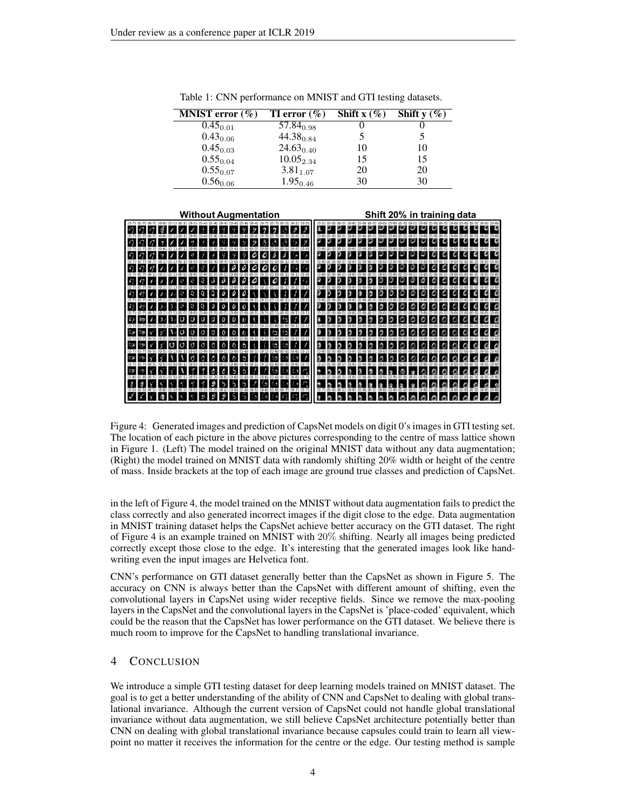| <b>MNIST</b> error $(\%)$ | <b>TI</b> error $(\%)$ | Shift $x(\%)$ | Shift $y(\%)$ |
|---------------------------|------------------------|---------------|---------------|
| $0.45_{0.01}$             | $57.84_{0.98}$         |               |               |
| $0.43_{0.06}$             | $44.38_{0.84}$         |               |               |
| $0.45_{0.03}$             | $24.63_{0.40}$         | 10            | 10            |
| $0.55_{0.04}$             | $10.05_{2.34}$         | 15            | 15            |
| $0.55_{0.07}$             | $3.81_{1.07}$          | 20            | 20            |
| $0.56_{0.06}$             | $1.95_{0.46}$          | 30            | 30            |

Table 1: CNN performance on MNIST and GTI testing datasets.



Figure 4: Generated images and prediction of CapsNet models on digit 0's images in GTI testing set. The location of each picture in the above pictures corresponding to the centre of mass lattice shown in Figure 1. (Left) The model trained on the original MNIST data without any data augmentation; (Right) the model trained on MNIST data with randomly shifting 20% width or height of the centre of mass. Inside brackets at the top of each image are ground true classes and prediction of CapsNet.

in the left of Figure 4, the model trained on the MNIST without data augmentation fails to predict the class correctly and also generated incorrect images if the digit close to the edge. Data augmentation in MNIST training dataset helps the CapsNet achieve better accuracy on the GTI dataset. The right of Figure 4 is an example trained on MNIST with 20% shifting. Nearly all images being predicted correctly except those close to the edge. It's interesting that the generated images look like handwriting even the input images are Helvetica font.

CNN's performance on GTI dataset generally better than the CapsNet as shown in Figure 5. The accuracy on CNN is always better than the CapsNet with different amount of shifting, even the convolutional layers in CapsNet using wider receptive fields. Since we remove the max-pooling layers in the CapsNet and the convolutional layers in the CapsNet is 'place-coded' equivalent, which could be the reason that the CapsNet has lower performance on the GTI dataset. We believe there is much room to improve for the CapsNet to handling translational invariance.

#### 4 CONCLUSION

We introduce a simple GTI testing dataset for deep learning models trained on MNIST dataset. The goal is to get a better understanding of the ability of CNN and CapsNet to dealing with global translational invariance. Although the current version of CapsNet could not handle global translational invariance without data augmentation, we still believe CapsNet architecture potentially better than CNN on dealing with global translational invariance because capsules could train to learn all viewpoint no matter it receives the information for the centre or the edge. Our testing method is sample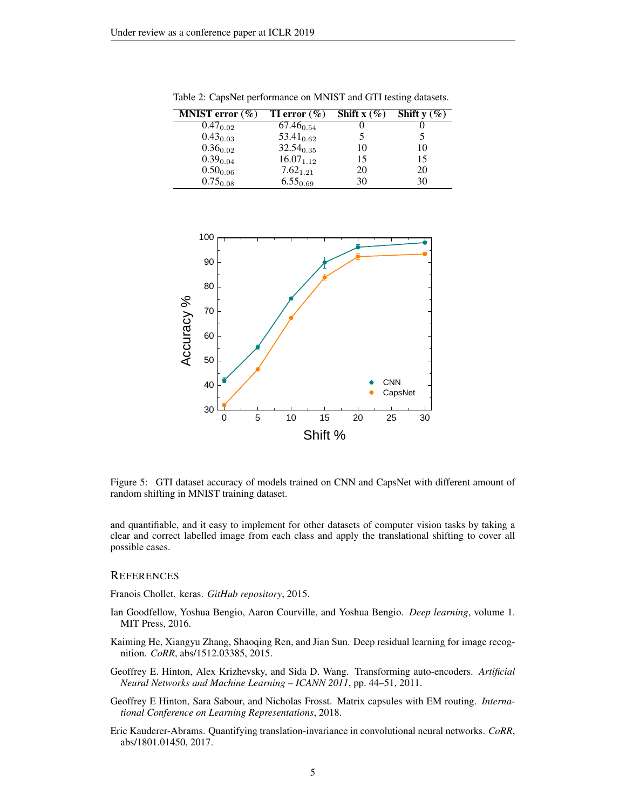| <b>MNIST</b> error $(\%)$ | TI error $(\% )$ | Shift $x(\%)$ | Shift $y(\%)$ |
|---------------------------|------------------|---------------|---------------|
| $0.47_{0.02}$             | $67.46_{0.54}$   |               |               |
| $0.43_{0.03}$             | $53.41_{0.62}$   |               |               |
| $0.36_{0.02}$             | $32.54_{0.35}$   | 10            | 10            |
| $0.39_{0.04}$             | $16.07_{1.12}$   | 15            | 15            |
| $0.50_{0.06}$             | $7.62_{1.21}$    | 20            | 20            |
| $0.75_{0.08}$             | $6.55_{0.69}$    | 30            | 30            |

Table 2: CapsNet performance on MNIST and GTI testing datasets.



Figure 5: GTI dataset accuracy of models trained on CNN and CapsNet with different amount of random shifting in MNIST training dataset.

and quantifiable, and it easy to implement for other datasets of computer vision tasks by taking a clear and correct labelled image from each class and apply the translational shifting to cover all possible cases.

#### **REFERENCES**

<span id="page-4-5"></span>Franois Chollet. keras. *GitHub repository*, 2015.

- <span id="page-4-1"></span>Ian Goodfellow, Yoshua Bengio, Aaron Courville, and Yoshua Bengio. *Deep learning*, volume 1. MIT Press, 2016.
- <span id="page-4-0"></span>Kaiming He, Xiangyu Zhang, Shaoqing Ren, and Jian Sun. Deep residual learning for image recognition. *CoRR*, abs/1512.03385, 2015.
- <span id="page-4-2"></span>Geoffrey E. Hinton, Alex Krizhevsky, and Sida D. Wang. Transforming auto-encoders. *Artificial Neural Networks and Machine Learning – ICANN 2011*, pp. 44–51, 2011.
- <span id="page-4-3"></span>Geoffrey E Hinton, Sara Sabour, and Nicholas Frosst. Matrix capsules with EM routing. *International Conference on Learning Representations*, 2018.
- <span id="page-4-4"></span>Eric Kauderer-Abrams. Quantifying translation-invariance in convolutional neural networks. *CoRR*, abs/1801.01450, 2017.